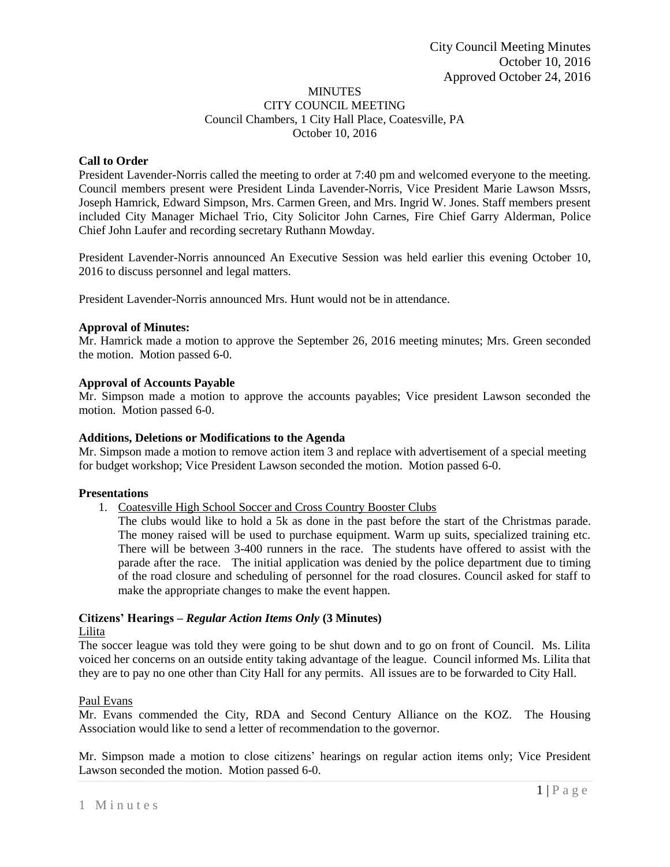#### MINUTES CITY COUNCIL MEETING Council Chambers, 1 City Hall Place, Coatesville, PA October 10, 2016

# **Call to Order**

President Lavender-Norris called the meeting to order at 7:40 pm and welcomed everyone to the meeting. Council members present were President Linda Lavender-Norris, Vice President Marie Lawson Mssrs, Joseph Hamrick, Edward Simpson, Mrs. Carmen Green, and Mrs. Ingrid W. Jones. Staff members present included City Manager Michael Trio, City Solicitor John Carnes, Fire Chief Garry Alderman, Police Chief John Laufer and recording secretary Ruthann Mowday.

President Lavender-Norris announced An Executive Session was held earlier this evening October 10, 2016 to discuss personnel and legal matters.

President Lavender-Norris announced Mrs. Hunt would not be in attendance.

#### **Approval of Minutes:**

Mr. Hamrick made a motion to approve the September 26, 2016 meeting minutes; Mrs. Green seconded the motion. Motion passed 6-0.

# **Approval of Accounts Payable**

Mr. Simpson made a motion to approve the accounts payables; Vice president Lawson seconded the motion. Motion passed 6-0.

#### **Additions, Deletions or Modifications to the Agenda**

Mr. Simpson made a motion to remove action item 3 and replace with advertisement of a special meeting for budget workshop; Vice President Lawson seconded the motion. Motion passed 6-0.

#### **Presentations**

1. Coatesville High School Soccer and Cross Country Booster Clubs

The clubs would like to hold a 5k as done in the past before the start of the Christmas parade. The money raised will be used to purchase equipment. Warm up suits, specialized training etc. There will be between 3-400 runners in the race. The students have offered to assist with the parade after the race. The initial application was denied by the police department due to timing of the road closure and scheduling of personnel for the road closures. Council asked for staff to make the appropriate changes to make the event happen.

# **Citizens' Hearings –** *Regular Action Items Only* **(3 Minutes)**

# Lilita

The soccer league was told they were going to be shut down and to go on front of Council. Ms. Lilita voiced her concerns on an outside entity taking advantage of the league. Council informed Ms. Lilita that they are to pay no one other than City Hall for any permits. All issues are to be forwarded to City Hall.

# Paul Evans

Mr. Evans commended the City, RDA and Second Century Alliance on the KOZ. The Housing Association would like to send a letter of recommendation to the governor.

Mr. Simpson made a motion to close citizens' hearings on regular action items only; Vice President Lawson seconded the motion. Motion passed 6-0.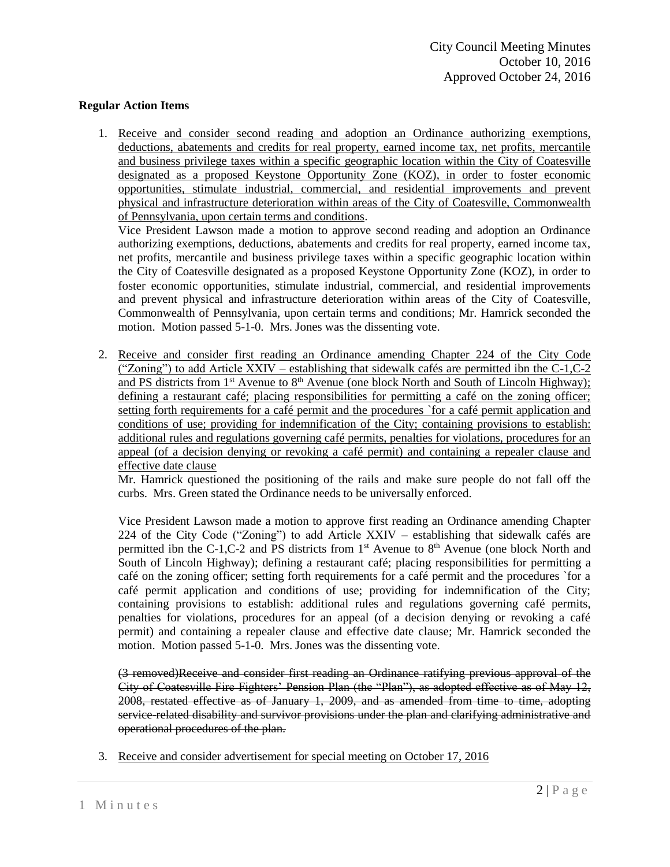# **Regular Action Items**

1. Receive and consider second reading and adoption an Ordinance authorizing exemptions, deductions, abatements and credits for real property, earned income tax, net profits, mercantile and business privilege taxes within a specific geographic location within the City of Coatesville designated as a proposed Keystone Opportunity Zone (KOZ), in order to foster economic opportunities, stimulate industrial, commercial, and residential improvements and prevent physical and infrastructure deterioration within areas of the City of Coatesville, Commonwealth of Pennsylvania, upon certain terms and conditions.

Vice President Lawson made a motion to approve second reading and adoption an Ordinance authorizing exemptions, deductions, abatements and credits for real property, earned income tax, net profits, mercantile and business privilege taxes within a specific geographic location within the City of Coatesville designated as a proposed Keystone Opportunity Zone (KOZ), in order to foster economic opportunities, stimulate industrial, commercial, and residential improvements and prevent physical and infrastructure deterioration within areas of the City of Coatesville, Commonwealth of Pennsylvania, upon certain terms and conditions; Mr. Hamrick seconded the motion. Motion passed 5-1-0. Mrs. Jones was the dissenting vote.

2. Receive and consider first reading an Ordinance amending Chapter 224 of the City Code ("Zoning") to add Article XXIV – establishing that sidewalk cafés are permitted ibn the C-1,C-2 and PS districts from 1<sup>st</sup> Avenue to 8<sup>th</sup> Avenue (one block North and South of Lincoln Highway); defining a restaurant café; placing responsibilities for permitting a café on the zoning officer; setting forth requirements for a café permit and the procedures `for a café permit application and conditions of use; providing for indemnification of the City; containing provisions to establish: additional rules and regulations governing café permits, penalties for violations, procedures for an appeal (of a decision denying or revoking a café permit) and containing a repealer clause and effective date clause

Mr. Hamrick questioned the positioning of the rails and make sure people do not fall off the curbs. Mrs. Green stated the Ordinance needs to be universally enforced.

Vice President Lawson made a motion to approve first reading an Ordinance amending Chapter 224 of the City Code ("Zoning") to add Article XXIV – establishing that sidewalk cafés are permitted ibn the C-1, C-2 and PS districts from  $1<sup>st</sup>$  Avenue to  $8<sup>th</sup>$  Avenue (one block North and South of Lincoln Highway); defining a restaurant café; placing responsibilities for permitting a café on the zoning officer; setting forth requirements for a café permit and the procedures `for a café permit application and conditions of use; providing for indemnification of the City; containing provisions to establish: additional rules and regulations governing café permits, penalties for violations, procedures for an appeal (of a decision denying or revoking a café permit) and containing a repealer clause and effective date clause; Mr. Hamrick seconded the motion. Motion passed 5-1-0. Mrs. Jones was the dissenting vote.

(3 removed)Receive and consider first reading an Ordinance ratifying previous approval of the City of Coatesville Fire Fighters' Pension Plan (the "Plan"), as adopted effective as of May 12, 2008, restated effective as of January 1, 2009, and as amended from time to time, adopting service-related disability and survivor provisions under the plan and clarifying administrative and operational procedures of the plan.

3. Receive and consider advertisement for special meeting on October 17, 2016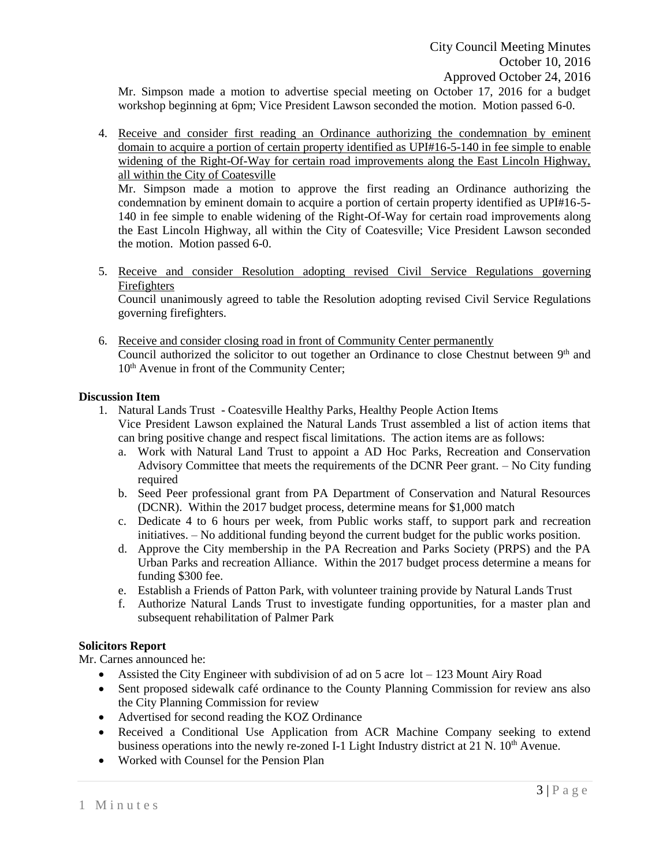Mr. Simpson made a motion to advertise special meeting on October 17, 2016 for a budget workshop beginning at 6pm; Vice President Lawson seconded the motion. Motion passed 6-0.

4. Receive and consider first reading an Ordinance authorizing the condemnation by eminent domain to acquire a portion of certain property identified as UPI#16-5-140 in fee simple to enable widening of the Right-Of-Way for certain road improvements along the East Lincoln Highway, all within the City of Coatesville

Mr. Simpson made a motion to approve the first reading an Ordinance authorizing the condemnation by eminent domain to acquire a portion of certain property identified as UPI#16-5- 140 in fee simple to enable widening of the Right-Of-Way for certain road improvements along the East Lincoln Highway, all within the City of Coatesville; Vice President Lawson seconded the motion. Motion passed 6-0.

5. Receive and consider Resolution adopting revised Civil Service Regulations governing Firefighters

Council unanimously agreed to table the Resolution adopting revised Civil Service Regulations governing firefighters.

6. Receive and consider closing road in front of Community Center permanently Council authorized the solicitor to out together an Ordinance to close Chestnut between  $9<sup>th</sup>$  and 10<sup>th</sup> Avenue in front of the Community Center;

# **Discussion Item**

- 1. Natural Lands Trust Coatesville Healthy Parks, Healthy People Action Items Vice President Lawson explained the Natural Lands Trust assembled a list of action items that can bring positive change and respect fiscal limitations. The action items are as follows:
	- a. Work with Natural Land Trust to appoint a AD Hoc Parks, Recreation and Conservation Advisory Committee that meets the requirements of the DCNR Peer grant. – No City funding required
	- b. Seed Peer professional grant from PA Department of Conservation and Natural Resources (DCNR). Within the 2017 budget process, determine means for \$1,000 match
	- c. Dedicate 4 to 6 hours per week, from Public works staff, to support park and recreation initiatives. – No additional funding beyond the current budget for the public works position.
	- d. Approve the City membership in the PA Recreation and Parks Society (PRPS) and the PA Urban Parks and recreation Alliance. Within the 2017 budget process determine a means for funding \$300 fee.
	- e. Establish a Friends of Patton Park, with volunteer training provide by Natural Lands Trust
	- f. Authorize Natural Lands Trust to investigate funding opportunities, for a master plan and subsequent rehabilitation of Palmer Park

# **Solicitors Report**

Mr. Carnes announced he:

- Assisted the City Engineer with subdivision of ad on 5 acre lot 123 Mount Airy Road
- Sent proposed sidewalk café ordinance to the County Planning Commission for review ans also the City Planning Commission for review
- Advertised for second reading the KOZ Ordinance
- Received a Conditional Use Application from ACR Machine Company seeking to extend business operations into the newly re-zoned I-1 Light Industry district at 21 N.  $10<sup>th</sup>$  Avenue.
- Worked with Counsel for the Pension Plan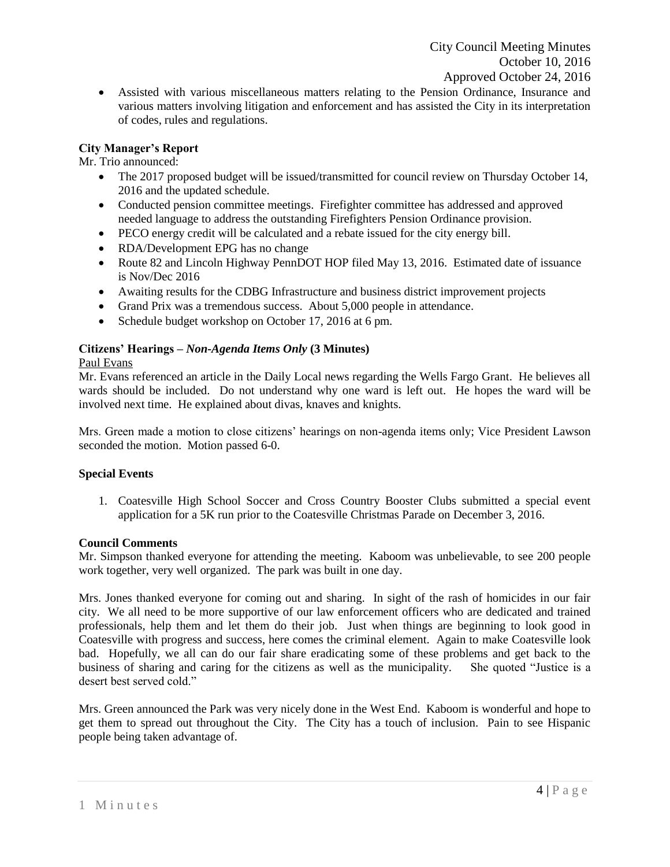Assisted with various miscellaneous matters relating to the Pension Ordinance, Insurance and various matters involving litigation and enforcement and has assisted the City in its interpretation of codes, rules and regulations.

# **City Manager's Report**

Mr. Trio announced:

- The 2017 proposed budget will be issued/transmitted for council review on Thursday October 14, 2016 and the updated schedule.
- Conducted pension committee meetings. Firefighter committee has addressed and approved needed language to address the outstanding Firefighters Pension Ordinance provision.
- PECO energy credit will be calculated and a rebate issued for the city energy bill.
- RDA/Development EPG has no change
- Route 82 and Lincoln Highway PennDOT HOP filed May 13, 2016. Estimated date of issuance is Nov/Dec 2016
- Awaiting results for the CDBG Infrastructure and business district improvement projects
- Grand Prix was a tremendous success. About 5,000 people in attendance.
- Schedule budget workshop on October 17, 2016 at 6 pm.

# **Citizens' Hearings –** *Non-Agenda Items Only* **(3 Minutes)**

# Paul Evans

Mr. Evans referenced an article in the Daily Local news regarding the Wells Fargo Grant. He believes all wards should be included. Do not understand why one ward is left out. He hopes the ward will be involved next time. He explained about divas, knaves and knights.

Mrs. Green made a motion to close citizens' hearings on non-agenda items only; Vice President Lawson seconded the motion. Motion passed 6-0.

# **Special Events**

1. Coatesville High School Soccer and Cross Country Booster Clubs submitted a special event application for a 5K run prior to the Coatesville Christmas Parade on December 3, 2016.

# **Council Comments**

Mr. Simpson thanked everyone for attending the meeting. Kaboom was unbelievable, to see 200 people work together, very well organized. The park was built in one day.

Mrs. Jones thanked everyone for coming out and sharing. In sight of the rash of homicides in our fair city. We all need to be more supportive of our law enforcement officers who are dedicated and trained professionals, help them and let them do their job. Just when things are beginning to look good in Coatesville with progress and success, here comes the criminal element. Again to make Coatesville look bad. Hopefully, we all can do our fair share eradicating some of these problems and get back to the business of sharing and caring for the citizens as well as the municipality. She quoted "Justice is a desert best served cold."

Mrs. Green announced the Park was very nicely done in the West End. Kaboom is wonderful and hope to get them to spread out throughout the City. The City has a touch of inclusion. Pain to see Hispanic people being taken advantage of.